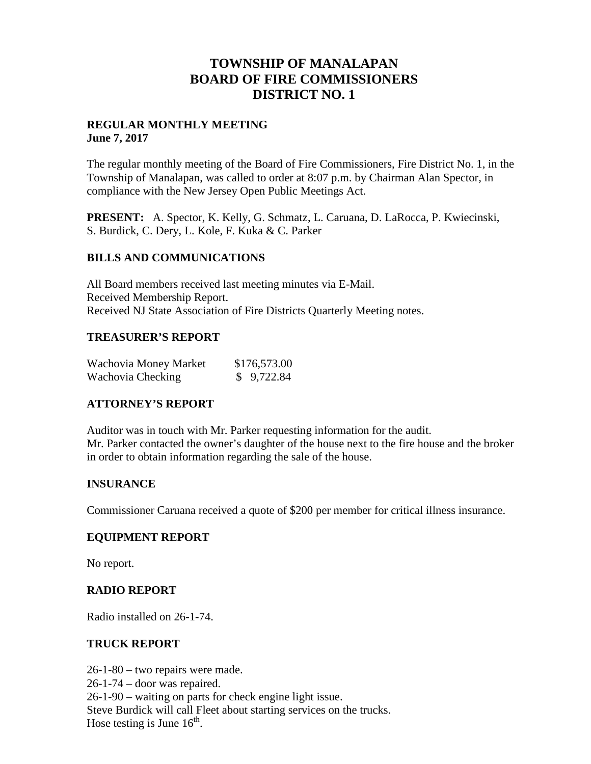## **TOWNSHIP OF MANALAPAN BOARD OF FIRE COMMISSIONERS DISTRICT NO. 1**

#### **REGULAR MONTHLY MEETING June 7, 2017**

The regular monthly meeting of the Board of Fire Commissioners, Fire District No. 1, in the Township of Manalapan, was called to order at 8:07 p.m. by Chairman Alan Spector, in compliance with the New Jersey Open Public Meetings Act.

**PRESENT:** A. Spector, K. Kelly, G. Schmatz, L. Caruana, D. LaRocca, P. Kwiecinski, S. Burdick, C. Dery, L. Kole, F. Kuka & C. Parker

## **BILLS AND COMMUNICATIONS**

All Board members received last meeting minutes via E-Mail. Received Membership Report. Received NJ State Association of Fire Districts Quarterly Meeting notes.

## **TREASURER'S REPORT**

| Wachovia Money Market | \$176,573.00 |
|-----------------------|--------------|
| Wachovia Checking     | \$9,722.84   |

## **ATTORNEY'S REPORT**

Auditor was in touch with Mr. Parker requesting information for the audit. Mr. Parker contacted the owner's daughter of the house next to the fire house and the broker in order to obtain information regarding the sale of the house.

#### **INSURANCE**

Commissioner Caruana received a quote of \$200 per member for critical illness insurance.

#### **EQUIPMENT REPORT**

No report.

#### **RADIO REPORT**

Radio installed on 26-1-74.

#### **TRUCK REPORT**

26-1-80 – two repairs were made. 26-1-74 – door was repaired. 26-1-90 – waiting on parts for check engine light issue. Steve Burdick will call Fleet about starting services on the trucks. Hose testing is June  $16^{th}$ .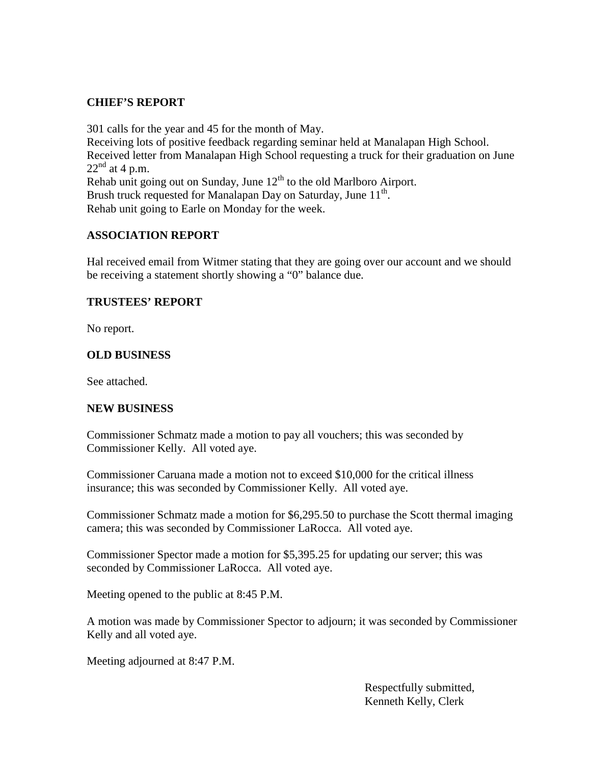## **CHIEF'S REPORT**

301 calls for the year and 45 for the month of May. Receiving lots of positive feedback regarding seminar held at Manalapan High School. Received letter from Manalapan High School requesting a truck for their graduation on June  $22<sup>nd</sup>$  at 4 p.m. Rehab unit going out on Sunday, June  $12<sup>th</sup>$  to the old Marlboro Airport. Brush truck requested for Manalapan Day on Saturday, June 11<sup>th</sup>. Rehab unit going to Earle on Monday for the week.

## **ASSOCIATION REPORT**

Hal received email from Witmer stating that they are going over our account and we should be receiving a statement shortly showing a "0" balance due.

#### **TRUSTEES' REPORT**

No report.

#### **OLD BUSINESS**

See attached.

#### **NEW BUSINESS**

Commissioner Schmatz made a motion to pay all vouchers; this was seconded by Commissioner Kelly. All voted aye.

Commissioner Caruana made a motion not to exceed \$10,000 for the critical illness insurance; this was seconded by Commissioner Kelly. All voted aye.

Commissioner Schmatz made a motion for \$6,295.50 to purchase the Scott thermal imaging camera; this was seconded by Commissioner LaRocca. All voted aye.

Commissioner Spector made a motion for \$5,395.25 for updating our server; this was seconded by Commissioner LaRocca. All voted aye.

Meeting opened to the public at 8:45 P.M.

A motion was made by Commissioner Spector to adjourn; it was seconded by Commissioner Kelly and all voted aye.

Meeting adjourned at 8:47 P.M.

Respectfully submitted, Kenneth Kelly, Clerk